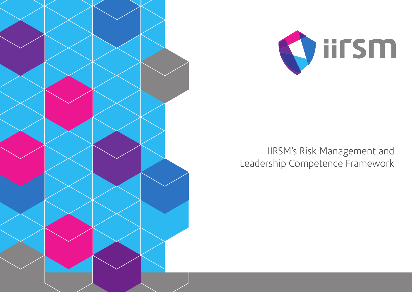



### IIRSM's Risk Management and Leadership Competence Framework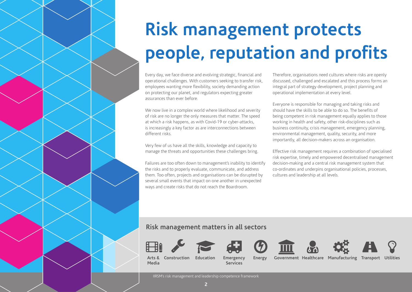# **Risk management protects people, reputation and profits**

Every day, we face diverse and evolving strategic, financial and operational challenges. With customers seeking to transfer risk, employees wanting more flexibility, society demanding action on protecting our planet, and regulators expecting greater assurances than ever before.

We now live in a complex world where likelihood and severity of risk are no longer the only measures that matter. The speed at which a risk happens, as with Covid-19 or cyber-attacks, is increasingly a key factor as are interconnections between different risks.

Very few of us have all the skills, knowledge and capacity to manage the threats and opportunities these challenges bring.

Failures are too often down to management's inability to identify the risks and to properly evaluate, communicate, and address them. Too often, projects and organisations can be disrupted by several small events that impact on one another in unexpected ways and create risks that do not reach the Boardroom.

Therefore, organisations need cultures where risks are openly discussed, challenged and escalated and this process forms an integral part of strategy development, project planning and operational implementation at every level.

Everyone is responsible for managing and taking risks and should have the skills to be able to do so. The benefits of being competent in risk management equally applies to those working in health and safety, other risk-disciplines such as business continuity, crisis management, emergency planning, environmental management, quality, security, and more importantly, all decision-makers across an organisation.

Effective risk management requires a combination of specialised risk expertise, timely and empowered decentralised management decision-making and a central risk management system that co-ordinates and underpins organisational policies, processes, cultures and leadership at all levels.

#### **Risk management matters in all sectors**













**Arts & Media Construction Education Emergency** 

**Services Energy Government Healthcare Manufacturing Transport** 

IIRSM's risk management and leadership competence framework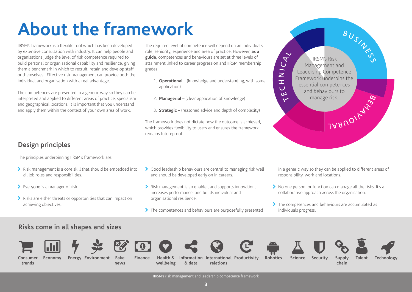## **About the framework**

IIRSM's framework is a flexible tool which has been developed by extensive consultation with industry. It can help people and organisations judge the level of risk competence required to build personal or organisational capability and resilience, giving them a benchmark in which to recruit, retain and develop staff or themselves. Effective risk management can provide both the individual and organisation with a real advantage.

The competences are presented in a generic way so they can be interpreted and applied to different areas of practice, specialism and geographical locations. It is important that you understand and apply them within the context of your own area of work.

### **Design principles**

The principles underpinning IIRSM's framework are:

- Risk management is a core skill that should be embedded into all job roles and responsibilities.
- > Everyone is a manager of risk.
- Risks are either threats or opportunities that can impact on achieving objectives.

The required level of competence will depend on an individual's role, seniority, experience and area of practice. However, **as a guide**, competences and behaviours are set at three levels of attainment linked to career progression and IIRSM membership grades.

- 1. **Operational** (knowledge and understanding, with some application)
- 2. **Managerial** (clear application of knowledge)
- 3. **Strategic** (reasoned advice and depth of complexity)

The framework does not dictate how the outcome is achieved, which provides flexibility to users and ensures the framework remains futureproof.

- Good leadership behaviours are central to managing risk well and should be developed early on in careers.
- Risk management is an enabler, and supports innovation, increases performance, and builds individual and organisational resilience.
- The competences and behaviours are purposefully presented



in a generic way so they can be applied to different areas of responsibility, work and locations.

- No one person, or function can manage all the risks. It's a collaborative approach across the organisation.
- The competences and behaviours are accumulated as individuals progress.

#### **Risks come in all shapes and sizes**









**news**











**Consumer trends**

**Economy Energy Fake** 

**Finance Health & wellbeing & data**

**Information International Productivity Robotics Science Security Supply Environment Talent Technology relations**

**chain**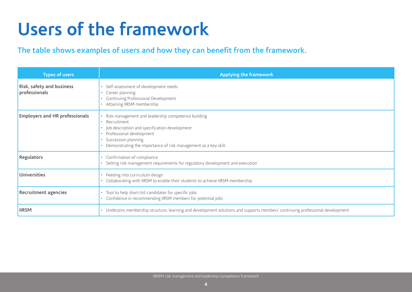### **Users of the framework**

### **The table shows examples of users and how they can benefit from the framework.**

| <b>Types of users</b>                      | <b>Applying the framework</b>                                                                                                                                                                                                                 |  |
|--------------------------------------------|-----------------------------------------------------------------------------------------------------------------------------------------------------------------------------------------------------------------------------------------------|--|
| Risk, safety and business<br>professionals | Self-assessment of development needs<br>Career planning<br>Continuing Professional Development<br>Attaining IIRSM membership                                                                                                                  |  |
| <b>Employers and HR professionals</b>      | • Risk management and leadership competence building<br>• Recruitment<br>Job description and specification development<br>Professional development<br>Succession planning<br>• Demonstrating the importance of risk management as a key skill |  |
| Regulators                                 | • Confirmation of compliance<br>Setting risk management requirements for regulatory development and execution                                                                                                                                 |  |
| <b>Universities</b>                        | • Feeding into curriculum design<br>Collaborating with IIRSM to enable their students to achieve IIRSM membership                                                                                                                             |  |
| <b>Recruitment agencies</b>                | Tool to help short-list candidates for specific jobs<br>Confidence in recommending IIRSM members for potential jobs                                                                                                                           |  |
| <b>IIRSM</b>                               | • Underpins membership structure, learning and development solutions and supports members' continuing professional development                                                                                                                |  |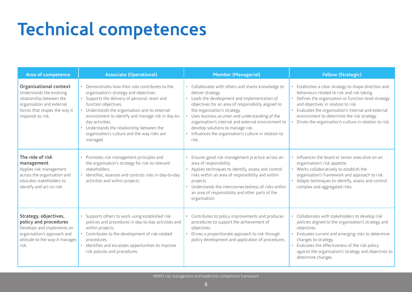# **Technical competences**

| Area of competence                                                                                                                                                | <b>Associate (Operational)</b>                                                                                                                                                                                                                                                                                                                                                                             | <b>Member (Managerial)</b>                                                                                                                                                                                                                                                                                                                                                                                                      | <b>Fellow (Strategic)</b>                                                                                                                                                                                                                                                                                                                                       |
|-------------------------------------------------------------------------------------------------------------------------------------------------------------------|------------------------------------------------------------------------------------------------------------------------------------------------------------------------------------------------------------------------------------------------------------------------------------------------------------------------------------------------------------------------------------------------------------|---------------------------------------------------------------------------------------------------------------------------------------------------------------------------------------------------------------------------------------------------------------------------------------------------------------------------------------------------------------------------------------------------------------------------------|-----------------------------------------------------------------------------------------------------------------------------------------------------------------------------------------------------------------------------------------------------------------------------------------------------------------------------------------------------------------|
| Organisational context<br>Understands the evolving<br>relationship between the<br>organisation and external<br>forces that shapes the way it<br>responds to risk. | • Demonstrates how their role contributes to the<br>organisation's strategy and objectives.<br>• Supports the delivery of personal, team and<br>function objectives.<br>• Understands the organisation and its external<br>environment to identify and manage risk in day-to-<br>day activities.<br>• Understands the relationship between the<br>organisation's culture and the way risks are<br>managed. | • Collaborates with others and shares knowledge to<br>deliver strategy.<br>• Leads the development and implementation of<br>objectives for an area of responsibility aligned to<br>the organisation's strategy.<br>• Uses business acumen and understanding of the<br>organisation's internal and external environment to<br>develop solutions to manage risk.<br>Influences the organisation's culture in relation to<br>risk. | Establishes a clear strategy to shape direction and<br>behaviours related to risk and risk taking.<br>Defines the organisation or function level strategy<br>and objectives in relation to risk.<br>Evaluates the organisation's internal and external<br>environment to determine the risk strategy.<br>Drives the organisation's culture in relation to risk. |
| The role of risk<br>management<br>Applies risk management<br>across the organisation and<br>educates stakeholders to<br>identify and act on risk.                 | • Promotes risk management principles and<br>the organisation's strategy for risk to relevant<br>stakeholders.<br>· Identifies, assesses and controls risks in day-to-day<br>activities and within projects.                                                                                                                                                                                               | Ensures good risk management practice across an<br>area of responsibility.<br>• Applies techniques to identify, assess and control<br>risks within an area of responsibility and within<br>projects.<br>Understands the interconnectedness of risks within<br>an area of responsibility and other parts of the<br>organisation.                                                                                                 | • Influences the board or senior executive on an<br>organisation's risk appetite.<br>• Works collaboratively to establish the<br>organisation's framework and approach to risk.<br>• Adapts techniques to identify, assess and control<br>complex and aggregated risks.                                                                                         |
| Strategy, objectives,<br>policy and procedures<br>Develops and implements an<br>organisation's approach and<br>attitude to the way it manages<br>risk.            | • Supports others to work using established risk<br>policies and procedures in day-to-day activities and<br>within projects.<br>• Contributes to the development of risk-related<br>procedures.<br>• Identifies and escalates opportunities to improve<br>risk policies and procedures.                                                                                                                    | • Contributes to policy improvements and produces<br>procedures to support the achievement of<br>objectives.<br>Drives a proportionate approach to risk through<br>policy development and application of procedures.                                                                                                                                                                                                            | • Collaborates with stakeholders to develop risk<br>policies aligned to the organisation's strategy and<br>objectives.<br>Evaluates current and emerging risks to determine<br>changes to strategy.<br>Evaluates the effectiveness of the risk policy<br>against the organisation's strategy and objectives to<br>determine changes.                            |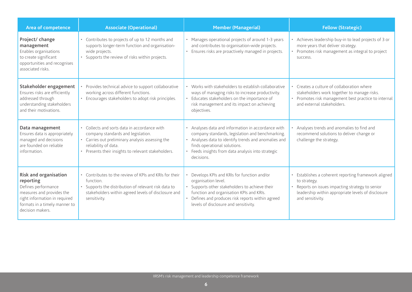| Area of competence                                                                                                                                                           | <b>Associate (Operational)</b>                                                                                                                                                                                      | <b>Member (Managerial)</b>                                                                                                                                                                                                                                   | <b>Fellow (Strategic)</b>                                                                                                                                                                          |
|------------------------------------------------------------------------------------------------------------------------------------------------------------------------------|---------------------------------------------------------------------------------------------------------------------------------------------------------------------------------------------------------------------|--------------------------------------------------------------------------------------------------------------------------------------------------------------------------------------------------------------------------------------------------------------|----------------------------------------------------------------------------------------------------------------------------------------------------------------------------------------------------|
| Project/ change<br>management<br>Enables organisations<br>to create significant<br>opportunities and recognises<br>associated risks.                                         | Contributes to projects of up to 12 months and<br>supports longer-term function and organisation-<br>wide projects.<br>Supports the review of risks within projects.<br>$\bullet$                                   | • Manages operational projects of around 1-3 years<br>and contributes to organisation-wide projects.<br>Ensures risks are proactively managed in projects.                                                                                                   | • Achieves leadership buy-in to lead projects of 3 or<br>more years that deliver strategy.<br>• Promotes risk management as integral to project<br>success.                                        |
| Stakeholder engagement<br>Ensures risks are efficiently<br>addressed through<br>understanding stakeholders<br>and their motivations.                                         | Provides technical advice to support collaborative<br>working across different functions.<br>• Encourages stakeholders to adopt risk principles.                                                                    | Works with stakeholders to establish collaborative<br>ways of managing risks to increase productivity.<br>Educates stakeholders on the importance of<br>risk management and its impact on achieving<br>objectives.                                           | • Creates a culture of collaboration where<br>stakeholders work together to manage risks.<br>• Promotes risk management best practice to internal<br>and external stakeholders.                    |
| Data management<br>Ensures data is appropriately<br>managed and decisions<br>are founded on reliable<br>information.                                                         | • Collects and sorts data in accordance with<br>company standards and legislation.<br>• Carries out preliminary analysis assessing the<br>reliability of data.<br>Presents their insights to relevant stakeholders. | Analyses data and information in accordance with<br>company standards, legislation and benchmarking.<br>Analyses data to identify trends and anomalies and<br>finds operational solutions.<br>Feeds insights from data analysis into strategic<br>decisions. | Analyses trends and anomalies to find and<br>recommend solutions to deliver change or<br>challenge the strategy.                                                                                   |
| Risk and organisation<br>reporting<br>Defines performance<br>measures and provides the<br>right information in required<br>formats in a timely manner to<br>decision makers. | • Contributes to the review of KPIs and KRIs for their<br>function.<br>Supports the distribution of relevant risk data to<br>$\bullet$<br>stakeholders within agreed levels of disclosure and<br>sensitivity.       | Develops KPIs and KRIs for function and/or<br>organisation level.<br>Supports other stakeholders to achieve their<br>function and organisation KPIs and KRIs.<br>Defines and produces risk reports within agreed<br>levels of disclosure and sensitivity.    | • Establishes a coherent reporting framework aligned<br>to strategy.<br>• Reports on issues impacting strategy to senior<br>leadership within appropriate levels of disclosure<br>and sensitivity. |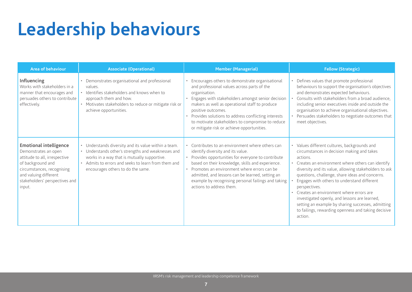### **Leadership behaviours**

| Area of behaviour                                                                                                                                                                                              | <b>Associate (Operational)</b>                                                                                                                                                                                                                      | <b>Member (Managerial)</b>                                                                                                                                                                                                                                                                                                                                                                            | <b>Fellow (Strategic)</b>                                                                                                                                                                                                                                                                                                                                                                                                                                                                                                                                    |
|----------------------------------------------------------------------------------------------------------------------------------------------------------------------------------------------------------------|-----------------------------------------------------------------------------------------------------------------------------------------------------------------------------------------------------------------------------------------------------|-------------------------------------------------------------------------------------------------------------------------------------------------------------------------------------------------------------------------------------------------------------------------------------------------------------------------------------------------------------------------------------------------------|--------------------------------------------------------------------------------------------------------------------------------------------------------------------------------------------------------------------------------------------------------------------------------------------------------------------------------------------------------------------------------------------------------------------------------------------------------------------------------------------------------------------------------------------------------------|
| Influencing<br>Works with stakeholders in a<br>manner that encourages and<br>persuades others to contribute<br>effectively.                                                                                    | Demonstrates organisational and professional<br>values.<br>• Identifies stakeholders and knows when to<br>approach them and how.<br>• Motivates stakeholders to reduce or mitigate risk or<br>achieve opportunities.                                | Encourages others to demonstrate organisational<br>and professional values across parts of the<br>organisation.<br>Engages with stakeholders amongst senior decision<br>makers as well as operational staff to produce<br>positive outcomes.<br>Provides solutions to address conflicting interests<br>to motivate stakeholders to compromise to reduce<br>or mitigate risk or achieve opportunities. | Defines values that promote professional<br>behaviours to support the organisation's objectives<br>and demonstrates expected behaviours.<br>Consults with stakeholders from a broad audience,<br>including senior executives inside and outside the<br>organisation to achieve organisational objectives.<br>Persuades stakeholders to negotiate outcomes that<br>meet objectives.                                                                                                                                                                           |
| <b>Emotional intelligence</b><br>Demonstrates an open<br>attitude to all, irrespective<br>of background and<br>circumstances, recognising<br>and valuing different<br>stakeholders' perspectives and<br>input. | Understands diversity and its value within a team.<br>• Understands other's strengths and weaknesses and<br>works in a way that is mutually supportive.<br>• Admits to errors and seeks to learn from them and<br>encourages others to do the same. | • Contributes to an environment where others can<br>identify diversity and its value.<br>Provides opportunities for everyone to contribute<br>based on their knowledge, skills and experience.<br>Promotes an environment where errors can be<br>admitted, and lessons can be learned, setting an<br>example by recognising personal failings and taking<br>actions to address them.                  | • Values different cultures, backgrounds and<br>circumstances in decision making and takes<br>actions.<br>• Creates an environment where others can identify<br>diversity and its value, allowing stakeholders to ask<br>questions, challenge, share ideas and concerns.<br>Engages with others to understand different<br>perspectives.<br>Creates an environment where errors are<br>investigated openly, and lessons are learned,<br>setting an example by sharing successes, admitting<br>to failings, rewarding openness and taking decisive<br>action. |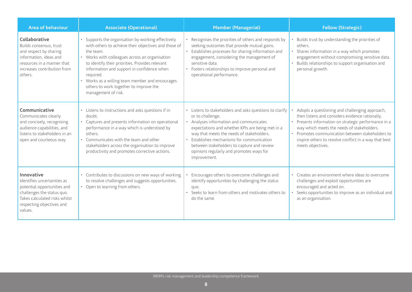| <b>Area of behaviour</b>                                                                                                                                                        | <b>Associate (Operational)</b>                                                                                                                                                                                                                                                                                                                                                                            | <b>Member (Managerial)</b>                                                                                                                                                                                                                                                                                                                                                             | <b>Fellow (Strategic)</b>                                                                                                                                                                                                                                                                                                                 |
|---------------------------------------------------------------------------------------------------------------------------------------------------------------------------------|-----------------------------------------------------------------------------------------------------------------------------------------------------------------------------------------------------------------------------------------------------------------------------------------------------------------------------------------------------------------------------------------------------------|----------------------------------------------------------------------------------------------------------------------------------------------------------------------------------------------------------------------------------------------------------------------------------------------------------------------------------------------------------------------------------------|-------------------------------------------------------------------------------------------------------------------------------------------------------------------------------------------------------------------------------------------------------------------------------------------------------------------------------------------|
| Collaborative<br>Builds consensus, trust<br>and respect by sharing<br>information, ideas and<br>resources in a manner that<br>increases contribution from<br>others.            | Supports the organisation by working effectively<br>with others to achieve their objectives and those of<br>the team.<br>• Works with colleagues across an organisation<br>to identify their priorities. Provides relevant<br>information and support in confidence when<br>required.<br>• Works as a willing team member and encourages<br>others to work together to improve the<br>management of risk. | Recognises the priorities of others and responds by<br>seeking outcomes that provide mutual gains.<br>Establishes processes for sharing information and<br>engagement, considering the management of<br>sensitive data.<br>Fosters relationships to improve personal and<br>operational performance.                                                                                   | Builds trust by understanding the priorities of<br>others.<br>• Shares information in a way which promotes<br>engagement without compromising sensitive data.<br>Builds relationships to support organisation and<br>personal growth.                                                                                                     |
| Communicative<br>Communicates clearly<br>and concisely, recognising<br>audience capabilities, and<br>listens to stakeholders in an<br>open and courteous way.                   | Listens to instructions and asks questions if in<br>$\bullet$<br>doubt.<br>Captures and presents information on operational<br>performance in a way which is understood by<br>others.<br>Communicates with the team and other<br>stakeholders across the organisation to improve<br>productivity and promotes corrective actions.                                                                         | Listens to stakeholders and asks questions to clarify<br>$\bullet$<br>or to challenge.<br>Analyses information and communicates<br>expectations and whether KPIs are being met in a<br>way that meets the needs of stakeholders.<br>Establishes mechanisms for communication<br>between stakeholders to capture and review<br>opinions regularly and promotes ways for<br>improvement. | Adopts a questioning and challenging approach,<br>then listens and considers evidence rationally.<br>• Presents information on strategic performance in a<br>way which meets the needs of stakeholders.<br>• Promotes communication between stakeholders to<br>inspire others to resolve conflict in a way that best<br>meets objectives. |
| Innovative<br>Identifies uncertainties as<br>potential opportunities and<br>challenges the status quo.<br>Takes calculated risks whilst<br>respecting objectives and<br>values. | • Contributes to discussions on new ways of working<br>to resolve challenges and suggests opportunities.<br>• Open to learning from others.                                                                                                                                                                                                                                                               | Encourages others to overcome challenges and<br>identify opportunities by challenging the status<br>quo.<br>Seeks to learn from others and motivates others to<br>do the same.                                                                                                                                                                                                         | • Creates an environment where ideas to overcome<br>challenges and exploit opportunities are<br>encouraged and acted on.<br>Seeks opportunities to improve as an individual and<br>as an organisation.                                                                                                                                    |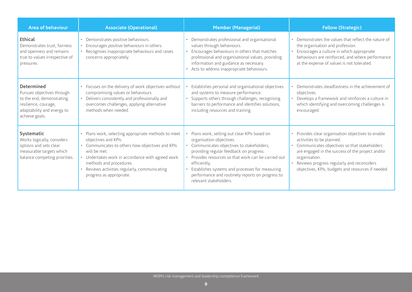| Area of behaviour                                                                                                                             | <b>Associate (Operational)</b>                                                                                                                                                                                                                                                                           | <b>Member (Managerial)</b>                                                                                                                                                                                                                                                                                                                                            | <b>Fellow (Strategic)</b>                                                                                                                                                                                                                                                                                  |
|-----------------------------------------------------------------------------------------------------------------------------------------------|----------------------------------------------------------------------------------------------------------------------------------------------------------------------------------------------------------------------------------------------------------------------------------------------------------|-----------------------------------------------------------------------------------------------------------------------------------------------------------------------------------------------------------------------------------------------------------------------------------------------------------------------------------------------------------------------|------------------------------------------------------------------------------------------------------------------------------------------------------------------------------------------------------------------------------------------------------------------------------------------------------------|
| Ethical<br>Demonstrates trust, fairness<br>and openness and remains<br>true to values irrespective of<br>pressures.                           | Demonstrates positive behaviours.<br>Encourages positive behaviours in others.<br>Recognises inappropriate behaviours and raises<br>$\bullet$<br>concerns appropriately.                                                                                                                                 | Demonstrates professional and organisational<br>values through behaviours.<br>Encourages behaviours in others that matches<br>professional and organisational values, providing<br>information and guidance as necessary.<br>Acts to address inappropriate behaviours.                                                                                                | • Demonstrates the values that reflect the nature of<br>the organisation and profession.<br>• Encourages a culture in which appropriate<br>behaviours are reinforced, and where performance<br>at the expense of values is not tolerated.                                                                  |
| Determined<br>Pursues objectives through<br>to the end, demonstrating<br>resilience, courage,<br>adaptability and energy to<br>achieve goals. | • Focuses on the delivery of work objectives without<br>compromising values or behaviours<br>Delivers consistently and professionally and<br>$\bullet$<br>overcomes challenges, applying alternative<br>methods when needed.                                                                             | Establishes personal and organisational objectives<br>and systems to measure performance.<br>Supports others through challenges, recognising<br>barriers to performance and identifies solutions,<br>including resources and training.                                                                                                                                | Demonstrates steadfastness in the achievement of<br>objectives.<br>• Develops a framework and reinforces a culture in<br>which identifying and overcoming challenges is<br>encouraged.                                                                                                                     |
| Systematic<br>Works logically, considers<br>options and sets clear<br>measurable targets which<br>balance competing priorities.               | • Plans work, selecting appropriate methods to meet<br>objectives and KPIs.<br>• Communicates to others how objectives and KPIs<br>will be met<br>• Undertakes work in accordance with agreed work<br>methods and procedures.<br>Reviews activities regularly, communicating<br>progress as appropriate. | Plans work, setting out clear KPIs based on<br>organisation objectives.<br>Communicates objectives to stakeholders,<br>providing regular feedback on progress.<br>Provides resources so that work can be carried out<br>efficiently.<br>Establishes systems and processes for measuring<br>performance and routinely reports on progress to<br>relevant stakeholders. | • Provides clear organisation objectives to enable<br>activities to be planned.<br>Communicates objectives so that stakeholders<br>are engaged in the success of the project and/or<br>organisation.<br>• Reviews progress regularly and reconsiders<br>objectives, KPIs, budgets and resources if needed. |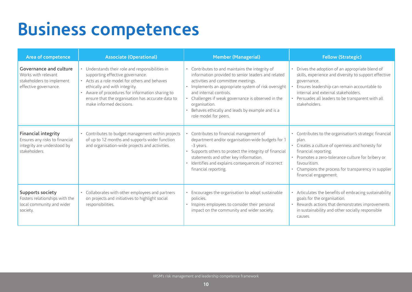### **Business competences**

| Area of competence                                                                                           | <b>Associate (Operational)</b>                                                                                                                                                                                                                                                                              | <b>Member (Managerial)</b>                                                                                                                                                                                                                                                                                                                                                     | <b>Fellow (Strategic)</b>                                                                                                                                                                                                                                                                      |
|--------------------------------------------------------------------------------------------------------------|-------------------------------------------------------------------------------------------------------------------------------------------------------------------------------------------------------------------------------------------------------------------------------------------------------------|--------------------------------------------------------------------------------------------------------------------------------------------------------------------------------------------------------------------------------------------------------------------------------------------------------------------------------------------------------------------------------|------------------------------------------------------------------------------------------------------------------------------------------------------------------------------------------------------------------------------------------------------------------------------------------------|
| Governance and culture<br>Works with relevant<br>stakeholders to implement<br>effective governance.          | • Understands their role and responsibilities in<br>supporting effective governance.<br>• Acts as a role model for others and behaves<br>ethically and with integrity.<br>• Aware of procedures for information sharing to<br>ensure that the organisation has accurate data to<br>make informed decisions. | • Contributes to and maintains the integrity of<br>information provided to senior leaders and related<br>activities and committee meetings.<br>Implements an appropriate system of risk oversight<br>and internal controls.<br>• Challenges if weak governance is observed in the<br>organisation.<br>Behaves ethically and leads by example and is a<br>role model for peers. | Drives the adoption of an appropriate blend of<br>skills, experience and diversity to support effective<br>governance.<br>Ensures leadership can remain accountable to<br>internal and external stakeholders.<br>Persuades all leaders to be transparent with all<br>stakeholders.             |
| <b>Financial integrity</b><br>Ensures any risks to financial<br>integrity are understood by<br>stakeholders. | • Contributes to budget management within projects<br>of up to 12 months and supports wider function<br>and organisation-wide projects and activities.                                                                                                                                                      | • Contributes to financial management of<br>department and/or organisation-wide budgets for 1<br>-3 years.<br>Supports others to protect the integrity of financial<br>statements and other key information.<br>· Identifies and explains consequences of incorrect<br>financial reporting.                                                                                    | • Contributes to the organisation's strategic financial<br>plan.<br>• Creates a culture of openness and honesty for<br>financial reporting.<br>Promotes a zero-tolerance culture for bribery or<br>favouritism.<br>Champions the process for transparency in supplier<br>financial engagement. |
| <b>Supports society</b><br>Fosters relationships with the<br>local community and wider<br>society.           | • Collaborates with other employees and partners<br>on projects and initiatives to highlight social<br>responsibilities.                                                                                                                                                                                    | Encourages the organisation to adopt sustainable<br>policies.<br>• Inspires employees to consider their personal<br>impact on the community and wider society.                                                                                                                                                                                                                 | • Articulates the benefits of embracing sustainability<br>goals for the organisation.<br>Rewards actions that demonstrates improvements<br>in sustainability and other socially responsible<br>causes.                                                                                         |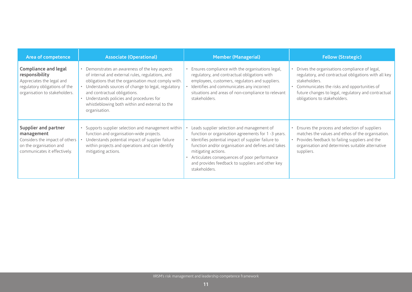| Area of competence                                                                                                                    | <b>Associate (Operational)</b>                                                                                                                                                                                                                                                                                                                                    | <b>Member (Managerial)</b>                                                                                                                                                                                                                                                                                                                               | <b>Fellow (Strategic)</b>                                                                                                                                                                                                                                      |
|---------------------------------------------------------------------------------------------------------------------------------------|-------------------------------------------------------------------------------------------------------------------------------------------------------------------------------------------------------------------------------------------------------------------------------------------------------------------------------------------------------------------|----------------------------------------------------------------------------------------------------------------------------------------------------------------------------------------------------------------------------------------------------------------------------------------------------------------------------------------------------------|----------------------------------------------------------------------------------------------------------------------------------------------------------------------------------------------------------------------------------------------------------------|
| Compliance and legal<br>responsibility<br>Appreciates the legal and<br>regulatory obligations of the<br>organisation to stakeholders. | • Demonstrates an awareness of the key aspects<br>of internal and external rules, regulations, and<br>obligations that the organisation must comply with.<br>• Understands sources of change to legal, regulatory<br>and contractual obligations.<br>• Understands policies and procedures for<br>whistleblowing both within and external to the<br>organisation. | Ensures compliance with the organisations legal,<br>regulatory, and contractual obligations with<br>employees, customers, regulators and suppliers.<br>Identifies and communicates any incorrect<br>situations and areas of non-compliance to relevant<br>stakeholders.                                                                                  | Drives the organisations compliance of legal,<br>regulatory, and contractual obligations with all key<br>stakeholders.<br>• Communicates the risks and opportunities of<br>future changes to legal, regulatory and contractual<br>obligations to stakeholders. |
| Supplier and partner<br>management<br>Considers the impact of others<br>on the organisation and<br>communicates it effectively.       | • Supports supplier selection and management within<br>function and organisation-wide projects.<br>Understands potential impact of supplier failure<br>within projects and operations and can identify<br>mitigating actions.                                                                                                                                     | Leads supplier selection and management of<br>function or organisation agreements for 1-3 years.<br>Identifies potential impact of supplier failure to<br>function and/or organisation and defines and takes<br>mitigating actions.<br>Articulates consequences of poor performance<br>and provides feedback to suppliers and other key<br>stakeholders. | Ensures the process and selection of suppliers<br>matches the values and ethos of the organisation.<br>Provides feedback to failing suppliers and the<br>organisation and determines suitable alternative<br>suppliers.                                        |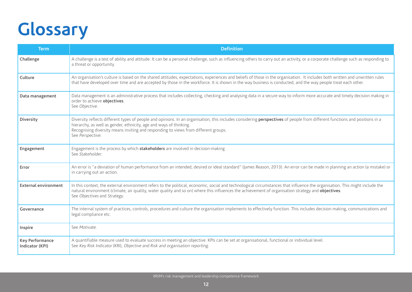## **Glossary**

| <b>Term</b>                               | <b>Definition</b>                                                                                                                                                                                                                                                                                                                                                 |
|-------------------------------------------|-------------------------------------------------------------------------------------------------------------------------------------------------------------------------------------------------------------------------------------------------------------------------------------------------------------------------------------------------------------------|
| Challenge                                 | A challenge is a test of ability and attitude. It can be a personal challenge, such as influencing others to carry out an activity, or a corporate challenge such as responding to<br>a threat or opportunity.                                                                                                                                                    |
| Culture                                   | An organisation's culture is based on the shared attitudes, expectations, experiences and beliefs of those in the organisation. It includes both written and unwritten rules<br>that have developed over time and are accepted by those in the workforce. It is shown in the way business is conducted, and the way people treat each other.                      |
| Data management                           | Data management is an administrative process that includes collecting, checking and analysing data in a secure way to inform more accurate and timely decision making in<br>order to achieve objectives.<br>See Objective.                                                                                                                                        |
| <b>Diversity</b>                          | Diversity reflects different types of people and opinions. In an organisation, this includes considering perspectives of people from different functions and positions in a<br>hierarchy, as well as gender, ethnicity, age and ways of thinking.<br>Recognising diversity means inviting and responding to views from different groups.<br>See Perspective.      |
| Engagement                                | Engagement is the process by which stakeholders are involved in decision-making<br>See Stakeholder.                                                                                                                                                                                                                                                               |
| Error                                     | An error is "a deviation of human performance from an intended, desired or ideal standard" (James Reason, 2013). An error can be made in planning an action (a mistake) or<br>in carrying out an action.                                                                                                                                                          |
| <b>External environment</b>               | In this context, the external environment refers to the political, economic, social and technological circumstances that influence the organisation. This might include the<br>natural environment (climate, air quality, water quality and so on) where this influences the achievement of organisation strategy and objectives.<br>See Objectives and Strategy. |
| Governance                                | The internal system of practices, controls, procedures and culture the organisation implements to effectively function. This includes decision making, communications and<br>legal compliance etc.                                                                                                                                                                |
| Inspire                                   | See Motivate.                                                                                                                                                                                                                                                                                                                                                     |
| <b>Key Performance</b><br>Indicator (KPI) | A quantifiable measure used to evaluate success in meeting an objective. KPIs can be set at organisational, functional or individual level.<br>See Key Risk Indicator (KRI), Objective and Risk and organisation reporting.                                                                                                                                       |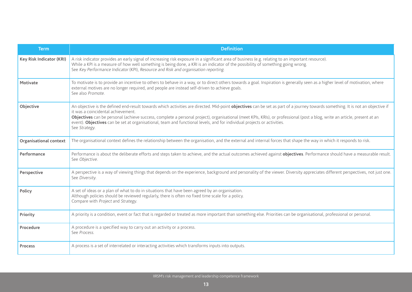| <b>Term</b>              | <b>Definition</b>                                                                                                                                                                                                                                                                                                                                                                                                                                                                                                                               |
|--------------------------|-------------------------------------------------------------------------------------------------------------------------------------------------------------------------------------------------------------------------------------------------------------------------------------------------------------------------------------------------------------------------------------------------------------------------------------------------------------------------------------------------------------------------------------------------|
| Key Risk Indicator (KRI) | A risk indicator provides an early signal of increasing risk exposure in a significant area of business (e.g. relating to an important resource).<br>While a KPI is a measure of how well something is being done, a KRI is an indicator of the possibility of something going wrong.<br>See Key Performance Indicator (KPI), Resource and Risk and organisation reporting.                                                                                                                                                                     |
| Motivate                 | To motivate is to provide an incentive to others to behave in a way, or to direct others towards a goal. Inspiration is generally seen as a higher level of motivation, where<br>external motives are no longer required, and people are instead self-driven to achieve goals.<br>See also Promote.                                                                                                                                                                                                                                             |
| Objective                | An objective is the defined end-result towards which activities are directed. Mid-point objectives can be set as part of a journey towards something. It is not an objective if<br>it was a coincidental achievement.<br>Objectives can be personal (achieve success, complete a personal project), organisational (meet KPIs, KRIs), or professional (post a blog, write an article, present at an<br>event). Objectives can be set at organisational, team and functional levels, and for individual projects or activities.<br>See Strategy. |
| Organisational context   | The organisational context defines the relationship between the organisation, and the external and internal forces that shape the way in which it responds to risk.                                                                                                                                                                                                                                                                                                                                                                             |
| Performance              | Performance is about the deliberate efforts and steps taken to achieve, and the actual outcomes achieved against objectives. Performance should have a measurable result.<br>See Objective.                                                                                                                                                                                                                                                                                                                                                     |
| Perspective              | A perspective is a way of viewing things that depends on the experience, background and personality of the viewer. Diversity appreciates different perspectives, not just one.<br>See Diversity.                                                                                                                                                                                                                                                                                                                                                |
| Policy                   | A set of ideas or a plan of what to do in situations that have been agreed by an organisation.<br>Although policies should be reviewed regularly, there is often no fixed time scale for a policy.<br>Compare with Project and Strategy.                                                                                                                                                                                                                                                                                                        |
| Priority                 | A priority is a condition, event or fact that is regarded or treated as more important than something else. Priorities can be organisational, professional or personal.                                                                                                                                                                                                                                                                                                                                                                         |
| Procedure                | A procedure is a specified way to carry out an activity or a process.<br>See Process.                                                                                                                                                                                                                                                                                                                                                                                                                                                           |
| Process                  | A process is a set of interrelated or interacting activities which transforms inputs into outputs.                                                                                                                                                                                                                                                                                                                                                                                                                                              |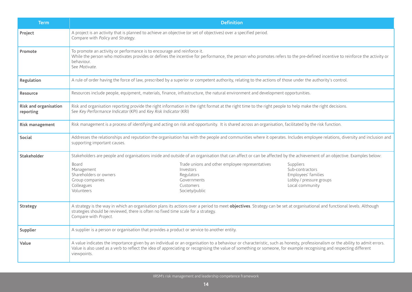| <b>Term</b>                        | <b>Definition</b>                                                                                                                                                                                                                                                                                                                                                   |                                                                                                   |  |
|------------------------------------|---------------------------------------------------------------------------------------------------------------------------------------------------------------------------------------------------------------------------------------------------------------------------------------------------------------------------------------------------------------------|---------------------------------------------------------------------------------------------------|--|
| Project                            | A project is an activity that is planned to achieve an objective (or set of objectives) over a specified period.<br>Compare with Policy and Strategy.                                                                                                                                                                                                               |                                                                                                   |  |
| Promote                            | To promote an activity or performance is to encourage and reinforce it.<br>While the person who motivates provides or defines the incentive for performance, the person who promotes refers to the pre-defined incentive to reinforce the activity or<br>behaviour.<br>See Motivate.                                                                                |                                                                                                   |  |
| Regulation                         | A rule of order having the force of law, prescribed by a superior or competent authority, relating to the actions of those under the authority's control.                                                                                                                                                                                                           |                                                                                                   |  |
| Resource                           | Resources include people, equipment, materials, finance, infrastructure, the natural environment and development opportunities.                                                                                                                                                                                                                                     |                                                                                                   |  |
| Risk and organisation<br>reporting | Risk and organisation reporting provide the right information in the right format at the right time to the right people to help make the right decisions.<br>See Key Performance Indicator (KPI) and Key Risk Indicator (KRI)                                                                                                                                       |                                                                                                   |  |
| Risk management                    | Risk management is a process of identifying and acting on risk and opportunity. It is shared across an organisation, facilitated by the risk function.                                                                                                                                                                                                              |                                                                                                   |  |
| <b>Social</b>                      | Addresses the relationships and reputation the organisation has with the people and communities where it operates. Includes employee relations, diversity and inclusion and<br>supporting important causes.                                                                                                                                                         |                                                                                                   |  |
| Stakeholder                        | Stakeholders are people and organisations inside and outside of an organisation that can affect or can be affected by the achievement of an objective. Examples below:                                                                                                                                                                                              |                                                                                                   |  |
|                                    | Board<br>Trade unions and other employee representatives<br>Investors<br>Management<br>Shareholders or owners<br>Regulators<br>Group companies<br>Governments<br>Colleagues<br>Customers<br>Volunteers<br>Society/public                                                                                                                                            | Suppliers<br>Sub-contractors<br>Employees' families<br>Lobby / pressure groups<br>Local community |  |
| Strategy                           | A strategy is the way in which an organisation plans its actions over a period to meet objectives. Strategy can be set at organisational and functional levels. Although<br>strategies should be reviewed, there is often no fixed time scale for a strategy.<br>Compare with Project.                                                                              |                                                                                                   |  |
| Supplier                           | A supplier is a person or organisation that provides a product or service to another entity.                                                                                                                                                                                                                                                                        |                                                                                                   |  |
| Value                              | A value indicates the importance given by an individual or an organisation to a behaviour or characteristic, such as honesty, professionalism or the ability to admit errors.<br>Value is also used as a verb to reflect the idea of appreciating or recognising the value of something or someone, for example recognising and respecting different<br>viewpoints. |                                                                                                   |  |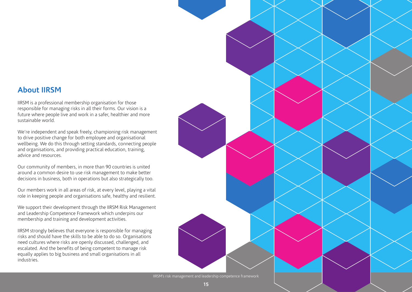#### **About IIRSM**

IIRSM is a professional membership organisation for those responsible for managing risks in all their forms. Our vision is a future where people live and work in a safer, healthier and more sustainable world.

We're independent and speak freely, championing risk management to drive positive change for both employee and organisational wellbeing. We do this through setting standards, connecting people and organisations, and providing practical education, training, advice and resources.

Our community of members, in more than 90 countries is united around a common desire to use risk management to make better decisions in business, both in operations but also strategically too.

Our members work in all areas of risk, at every level, playing a vital role in keeping people and organisations safe, healthy and resilient.

We support their development through the IIRSM Risk Management and Leadership Competence Framework which underpins our membership and training and development activities.

IIRSM strongly believes that everyone is responsible for managing risks and should have the skills to be able to do so. Organisations need cultures where risks are openly discussed, challenged, and escalated. And the benefits of being competent to manage risk equally applies to big business and small organisations in all industries.